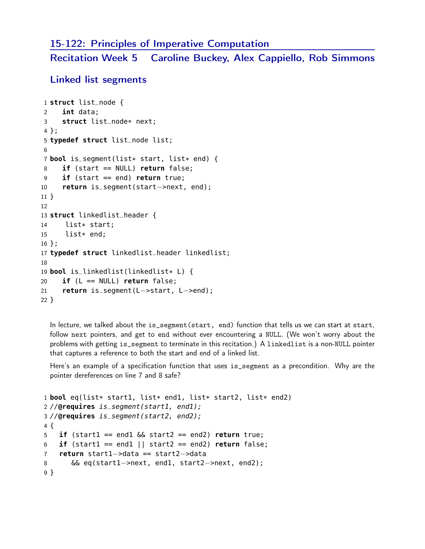## 15-122: Principles of Imperative Computation

Recitation Week 5 Caroline Buckey, Alex Cappiello, Rob Simmons

Linked list segments

```
1 struct list_node {
2 int data;
3 struct list_node* next;
4 };
5 typedef struct list_node list;
6
7 bool is_segment(list* start, list* end) {
8 if (start == NULL) return false;
9 if (start == end) return true;
10 return is_segment(start−>next, end);
11 }
12
13 struct linkedlist_header {
14 list* start;
15 list* end;
16 };
17 typedef struct linkedlist_header linkedlist;
18
19 bool is_linkedlist(linkedlist* L) {
20 if (L == NULL) return false;
21 return is_segment(L−>start, L−>end);
22 }
```
In lecture, we talked about the is\_segment(start, end) function that tells us we can start at start, follow next pointers, and get to end without ever encountering a NULL. (We won't worry about the problems with getting is\_segment to terminate in this recitation.) A linkedlist is a non-NULL pointer that captures a reference to both the start and end of a linked list.

Here's an example of a specification function that uses is\_segment as a precondition. Why are the pointer dereferences on line 7 and 8 safe?

```
1 bool eq(list* start1, list* end1, list* start2, list* end2)
2 //@requires is_segment(start1, end1);
3 //@requires is_segment(start2, end2);
4 {
5 if (start1 == end1 && start2 == end2) return true;
6 if (start1 == end1 || start2 == end2) return false;
7 return start1−>data == start2−>data
8 && eq(start1−>next, end1, start2−>next, end2);
9 }
```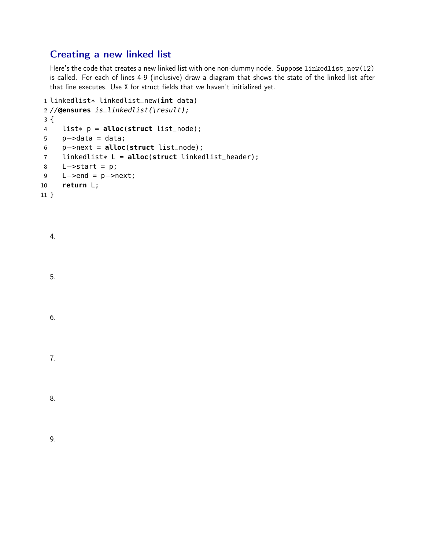## Creating a new linked list

Here's the code that creates a new linked list with one non-dummy node. Suppose linkedlist\_new(12) is called. For each of lines 4-9 (inclusive) draw a diagram that shows the state of the linked list after that line executes. Use X for struct fields that we haven't initialized yet.

```
1 linkedlist* linkedlist_new(int data)
2 //@ensures is_linkedlist(\result);
3 {
4 list* p = alloc(struct list_node);
5 p−>data = data;
6 p−>next = alloc(struct list_node);
7 linkedlist* L = alloc(struct linkedlist_header);
8 L−>start = p;
9 L−>end = p−>next;
10 return L;
11 }
```

| 4. |  |  |
|----|--|--|
| 5. |  |  |
| 6. |  |  |
| 7. |  |  |

| ۰<br>. .<br>v<br>۰,<br>Č,<br>I<br>I<br>×<br>۰.<br>× |  |
|-----------------------------------------------------|--|
|                                                     |  |

9.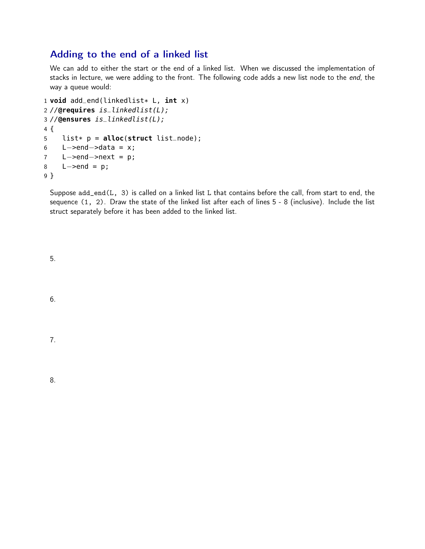## Adding to the end of a linked list

We can add to either the start or the end of a linked list. When we discussed the implementation of stacks in lecture, we were adding to the front. The following code adds a new list node to the end, the way a queue would:

```
1 void add_end(linkedlist* L, int x)
2 //@requires is_linkedlist(L);
3 //@ensures is_linkedlist(L);
4 {
5 list* p = alloc(struct list_node);
6 L->end->data = x;
7 L−>end−>next = p;
8 L−>end = p;
9 }
```
Suppose  $add\_end(L, 3)$  is called on a linked list L that contains before the call, from start to end, the sequence (1, 2). Draw the state of the linked list after each of lines 5 - 8 (inclusive). Include the list struct separately before it has been added to the linked list.

5.

6.

7.

8.